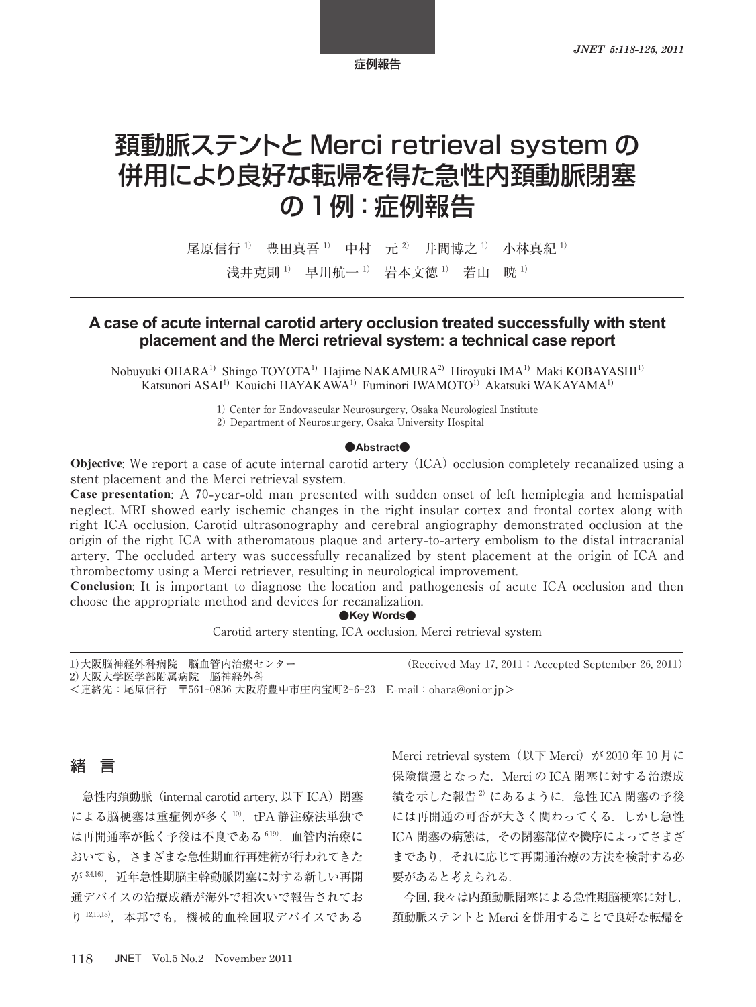# 頚動脈ステントと Merci retrieval system の 併用により良好な転帰を得た急性内頚動脈閉塞 の 1 例:症例報告

尾原信行<sup>1)</sup> 豊田真吾<sup>1)</sup> 中村 元<sup>2)</sup> 井間博之<sup>1)</sup> 小林真紀<sup>1)</sup> 浅井克則 1) 早川航一 1) 岩本文徳 1) 若山 暁 1)

# **A case of acute internal carotid artery occlusion treated successfully with stent placement and the Merci retrieval system: a technical case report**

Nobuyuki OHARA<sup>1)</sup> Shingo TOYOTA<sup>1)</sup> Hajime NAKAMURA<sup>2)</sup> Hiroyuki IMA<sup>1)</sup> Maki KOBAYASHI<sup>1)</sup> Katsunori ASAI<sup>1)</sup> Kouichi HAYAKAWA<sup>1)</sup> Fuminori IWAMOTO<sup>I)</sup> Akatsuki WAKAYAMA<sup>1)</sup>

1) Center for Endovascular Neurosurgery, Osaka Neurological Institute

2) Department of Neurosurgery, Osaka University Hospital

#### **●Abstract●**

**Objective:** We report a case of acute internal carotid artery (ICA) occlusion completely recanalized using a stent placement and the Merci retrieval system.

**Case presentation**: A 70**-**year**-**old man presented with sudden onset of left hemiplegia and hemispatial neglect. MRI showed early ischemic changes in the right insular cortex and frontal cortex along with right ICA occlusion. Carotid ultrasonography and cerebral angiography demonstrated occlusion at the origin of the right ICA with atheromatous plaque and artery**-**to**-**artery embolism to the distal intracranial artery. The occluded artery was successfully recanalized by stent placement at the origin of ICA and thrombectomy using a Merci retriever, resulting in neurological improvement.

**Conclusion**: It is important to diagnose the location and pathogenesis of acute ICA occlusion and then choose the appropriate method and devices for recanalization.

#### **●Key Words●**

Carotid artery stenting, ICA occlusion, Merci retrieval system

| 1) 大阪脳神経外科病院 脳血管内治療センター |  | (Received May 17, 2011 : Accepted September 26, 2011) |
|-------------------------|--|-------------------------------------------------------|
| 2)大阪大学医学部附属病院 脳神経外科     |  |                                                       |

<連絡先:尾原信行 〒561-0836 大阪府豊中市庄内宝町2-6-23 E**-**mail:ohara@oni.or.jp>

# 緒 言

急性内頚動脈(internal carotid artery, 以下 ICA)閉塞 による脳梗塞は重症例が多く10),tPA 静注療法単独で は再開通率が低く予後は不良である <sup>6</sup>,<sup>19</sup>).血管内治療に おいても,さまざまな急性期血行再建術が行われてきた が 3,416), 近年急性期脳主幹動脈閉塞に対する新しい再開 通デバイスの治療成績が海外で相次いで報告されてお り 12,15,18), 本邦でも、機械的血栓回収デバイスである

Merci retrieval system (以下 Merci) が 2010 年 10 月に 保険償還となった.Merci の ICA 閉塞に対する治療成 績を示した報告<sup>2)</sup>にあるように、急性 ICA 閉塞の予後 には再開通の可否が大きく関わってくる.しかし急性 ICA 閉塞の病態は,その閉塞部位や機序によってさまざ まであり,それに応じて再開通治療の方法を検討する必 要があると考えられる.

今回,我々は内頚動脈閉塞による急性期脳梗塞に対し, 頚動脈ステントと Merci を併用することで良好な転帰を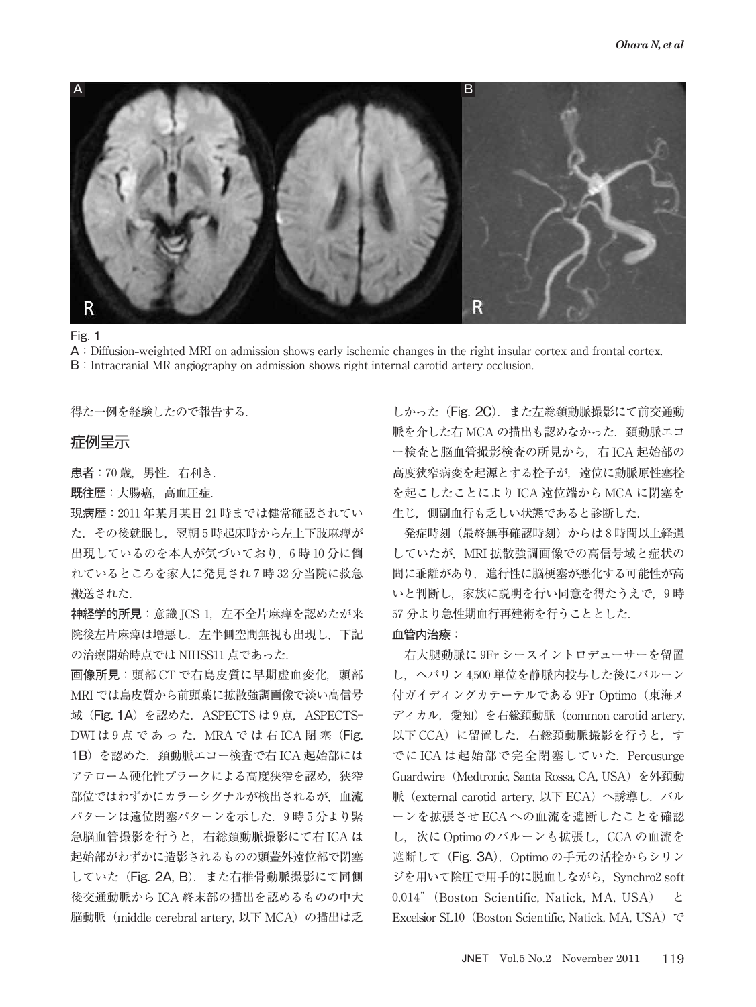

A:Diffusion**-**weighted MRI on admission shows early ischemic changes in the right insular cortex and frontal cortex. B: Intracranial MR angiography on admission shows right internal carotid artery occlusion.

得た一例を経験したので報告する.

## 症例呈示

患者:70 歳,男性.右利き.

既往歴:大腸癌,高血圧症.

現病歴:2011 年某月某日 21 時までは健常確認されてい た. その後就眠し、翌朝5時起床時から左上下肢麻痺が 出現しているのを本人が気づいており,6 時 10 分に倒 れているところを家人に発見され7時32分当院に救急 搬送された.

神経学的所見:意識 JCS 1,左不全片麻痺を認めたが来 院後左片麻痺は増悪し,左半側空間無視も出現し,下記 の治療開始時点では NIHSS11 点であった.

画像所見:頭部 CT で右島皮質に早期虚血変化,頭部 MRI では島皮質から前頭葉に拡散強調画像で淡い高信号 域 (Fig. 1A) を認めた. ASPECTS は 9 点, ASPECTS-DWI は 9 点 で あ っ た. MRA で は 右 ICA 閉 塞 (Fig. 1B)を認めた. 頚動脈エコー検査で右 ICA 起始部には アテローム硬化性プラークによる高度狭窄を認め、狭窄 部位ではわずかにカラーシグナルが検出されるが、血流 パターンは遠位閉塞パターンを示した. 9時5分より緊 急脳血管撮影を行うと,右総頚動脈撮影にて右 ICA は 起始部がわずかに造影されるものの頭蓋外遠位部で閉塞 していた (Fig. 2A, B). また右椎骨動脈撮影にて同側 後交通動脈から ICA 終末部の描出を認めるものの中大 脳動脈(middle cerebral artery, 以下 MCA)の描出は乏

しかった (Fig. 2C). また左総頚動脈撮影にて前交通動 脈を介した右 MCA の描出も認めなかった. 頚動脈エコ ー検査と脳血管撮影検査の所見から,右 ICA 起始部の 高度狭窄病変を起源とする栓子が,遠位に動脈原性塞栓 を起こしたことにより ICA 遠位端から MCA に閉塞を 生じ,側副血行も乏しい状態であると診断した.

発症時刻(最終無事確認時刻)からは8時間以上経過 していたが. MRI 拡散強調画像での高信号域と症状の 間に乖離があり,進行性に脳梗塞が悪化する可能性が高 いと判断し,家族に説明を行い同意を得たうえで,9 時 57 分より急性期血行再建術を行うこととした. 血管内治療:

# 右大腿動脈に 9Fr シースイントロデューサーを留置 し,ヘパリン 4,500 単位を静脈内投与した後にバルーン 付ガイディングカテーテルである 9Fr Optimo(東海メ ディカル, 愛知)を右総頚動脈 (common carotid artery, 以下 CCA)に留置した. 右総頚動脈撮影を行うと、す でに ICA は起始部で完全閉塞していた.Percusurge Guardwire(Medtronic, Santa Rossa, CA, USA)を外頚動 脈 (external carotid artery, 以下 ECA)へ誘導し、バル ーンを拡張させ ECA への血流を遮断したことを確認 し、次に Optimo のバルーンも拡張し、CCA の血流を 遮断して (Fig. 3A), Optimo の手元の活栓からシリン ジを用いて陰圧で用手的に脱血しながら、Synchro2 soft 0.014"(Boston Scientific, Natick, MA, USA) と Excelsior SL10 (Boston Scientific, Natick, MA, USA) で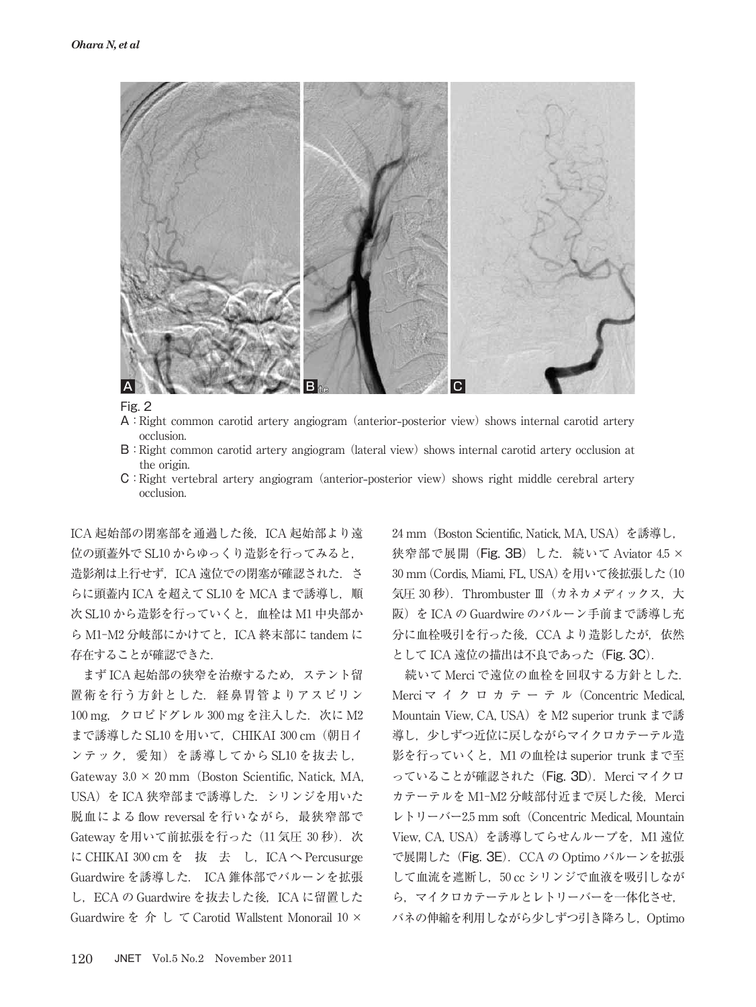

- A:Right common carotid artery angiogram (anterior**-**posterior view) shows internal carotid artery occlusion.
- B:Right common carotid artery angiogram (lateral view) shows internal carotid artery occlusion at the origin.
- C:Right vertebral artery angiogram (anterior**-**posterior view) shows right middle cerebral artery occlusion.

ICA 起始部の閉塞部を通過した後, ICA 起始部より遠 位の頭蓋外で SL10 からゆっくり造影を行ってみると, 造影剤は上行せず,ICA 遠位での閉塞が確認された.さ らに頭蓋内 ICA を超えて SL10 を MCA まで誘導し, 順 次 SL10 から造影を行っていくと、血栓は M1 中央部か ら M1-M2 分岐部にかけてと、ICA 終末部に tandem に 存在することが確認できた.

まず ICA 起始部の狭窄を治療するため,ステント留 置術を行う方針とした. 経鼻胃管よりアスピリン 100 mg, クロピドグレル 300 mg を注入した. 次に M2 まで誘導した SL10 を用いて, CHIKAI 300 cm (朝日イ ンテック,愛知)を誘導してから SL10 を抜去し, Gateway  $3.0 \times 20$  mm (Boston Scientific, Natick, MA, USA)を ICA 狭窄部まで誘導した. シリンジを用いた 脱血による flow reversal を行いながら、最狭窄部で Gateway を用いて前拡張を行った (11 気圧 30 秒). 次 に CHIKAI 300 cm を 抜 去 し, ICA へ Percusurge Guardwire を誘導した. ICA 錐体部でバルーンを拡張 し, ECA の Guardwire を抜去した後, ICA に留置した Guardwire を 介 し て Carotid Wallstent Monorail  $10 \times$ 

24 mm(Boston Scientific, Natick, MA, USA)を誘導し, 狭窄部で展開 (Fig. 3B) した. 続いて Aviator 4.5 × 30 mm(Cordis, Miami, FL, USA)を用いて後拡張した(10 気圧 30秒). Thrombuster Ⅲ (カネカメディックス,大 阪)を ICA の Guardwire のバルーン手前まで誘導し充 分に血栓吸引を行った後、CCA より造影したが、依然 として ICA 遠位の描出は不良であった (Fig. 3C).

続いて Merci で遠位の血栓を回収する方針とした. Merci マ イ ク ロ カ テ ー テ ル (Concentric Medical, Mountain View, CA, USA) を M2 superior trunk まで誘 導し、少しずつ近位に戻しながらマイクロカテーテル造 影を行っていくと、M1 の血栓は superior trunk まで至 っていることが確認された (Fig. 3D). Merci マイクロ カテーテルを M1-M2 分岐部付近まで戻した後, Merci  $\nu \vdash \nu$  -  $\nu \vdash$  -2.5 mm soft (Concentric Medical, Mountain View, CA, USA) を誘導してらせんループを, M1 遠位 で展開した (Fig. 3E). CCA の Optimo バルーンを拡張 して血流を遮断し,50 cc シリンジで血液を吸引しなが ら,マイクロカテーテルとレトリーバーを一体化させ, バネの伸縮を利用しながら少しずつ引き降ろし,Optimo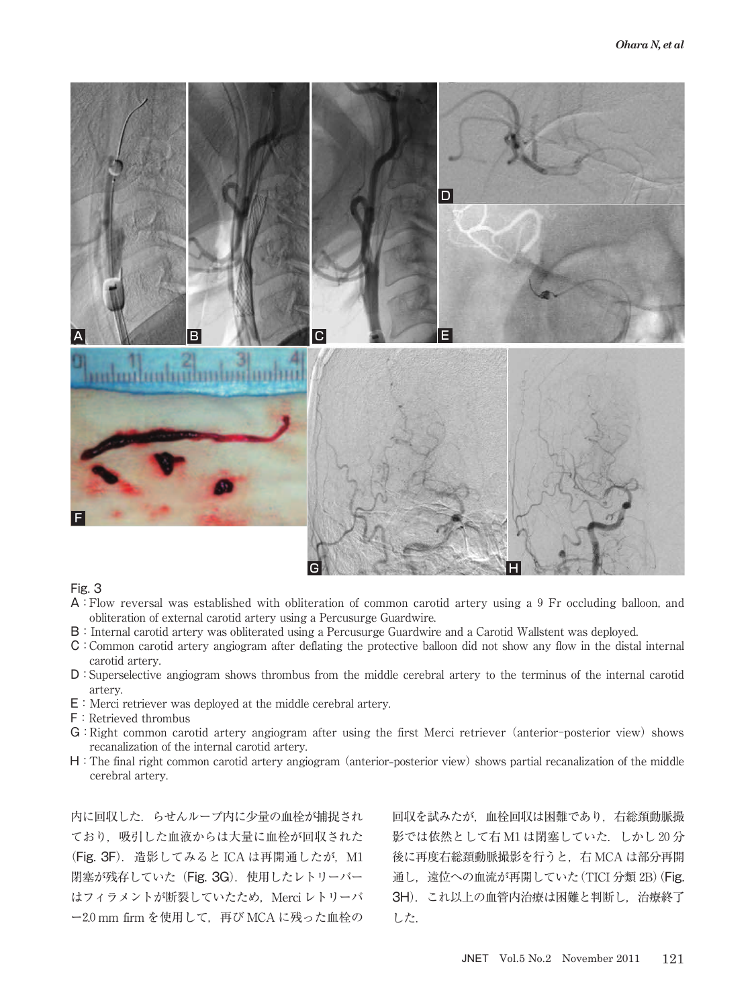

- A:Flow reversal was established with obliteration of common carotid artery using a 9 Fr occluding balloon, and obliteration of external carotid artery using a Percusurge Guardwire.
- B:Internal carotid artery was obliterated using a Percusurge Guardwire and a Carotid Wallstent was deployed.
- C:Common carotid artery angiogram after deflating the protective balloon did not show any flow in the distal internal carotid artery.
- D:Superselective angiogram shows thrombus from the middle cerebral artery to the terminus of the internal carotid artery.
- E:Merci retriever was deployed at the middle cerebral artery.
- F:Retrieved thrombus
- G:Right common carotid artery angiogram after using the first Merci retriever (anterior-posterior view) shows recanalization of the internal carotid artery.
- H:The final right common carotid artery angiogram (anterior**-**posterior view) shows partial recanalization of the middle cerebral artery.

内に回収した.らせんループ内に少量の血栓が捕捉され ており,吸引した血液からは大量に血栓が回収された (Fig. 3F). 造影してみると ICA は再開通したが, M1 閉塞が残存していた (Fig. 3G). 使用したレトリーバー はフィラメントが断裂していたため、Merci レトリーバ ー2.0 mm firm を使用して,再び MCA に残った血栓の

回収を試みたが,血栓回収は困難であり,右総頚動脈撮 影では依然として右 M1 は閉塞していた. しかし20分 後に再度右総頚動脈撮影を行うと,右 MCA は部分再開 通し、遠位への血流が再開していた (TICI 分類 2B) (Fig. 3H).これ以上の血管内治療は困難と判断し,治療終了 した.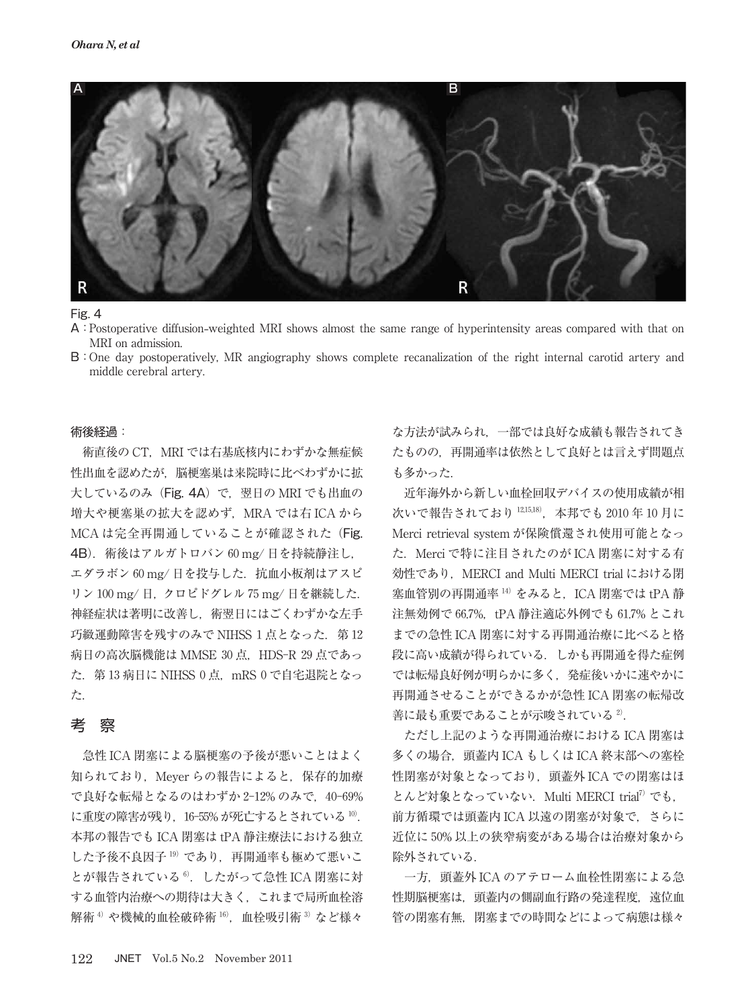

- A:Postoperative diffusion**-**weighted MRI shows almost the same range of hyperintensity areas compared with that on MRI on admission.
- B:One day postoperatively, MR angiography shows complete recanalization of the right internal carotid artery and middle cerebral artery.

#### 術後経過:

術直後の CT. MRI では右基底核内にわずかな無症候 性出血を認めたが,脳梗塞巣は来院時に比べわずかに拡 大しているのみ (Fig. 4A) で、翌日の MRI でも出血の 増大や梗塞巣の拡大を認めず,MRA では右 ICA から MCA は完全再開通していることが確認された (Fig. 4B).術後はアルガトロバン 60 mg/ 日を持続静注し, エダラボン 60 mg/ 日を投与した. 抗血小板剤はアスピ リン 100 mg/ 日,クロピドグレル 75 mg/ 日を継続した. 神経症状は著明に改善し,術翌日にはごくわずかな左手 巧緻運動障害を残すのみで NIHSS 1 点となった. 第12 病日の高次脳機能は MMSE 30 点, HDS-R 29 点であっ た.第 13 病日に NIHSS 0 点,mRS 0 で自宅退院となっ た.

# 考 察

急性 ICA 閉塞による脳梗塞の予後が悪いことはよく 知られており, Meyer らの報告によると, 保存的加療 で良好な転帰となるのはわずか 2-12% のみで、40-69% に重度の障害が残り, 16-55% が死亡するとされている 10. 本邦の報告でも ICA 閉塞は tPA 静注療法における独立 した予後不良因子19)であり、再開通率も極めて悪いこ とが報告されている<sup>6)</sup>. したがって急性 ICA 閉塞に対 する血管内治療への期待は大きく,これまで局所血栓溶 解術<sup>4)</sup>や機械的血栓破砕術 16), 血栓吸引術 3) など様々

な方法が試みられ,一部では良好な成績も報告されてき たものの,再開通率は依然として良好とは言えず問題点 も多かった.

近年海外から新しい血栓回収デバイスの使用成績が相 次いで報告されており <sup>12</sup>,15,<sup>18</sup>),本邦でも 2010 年 10 月に Merci retrieval system が保険償還され使用可能となっ た.Merci で特に注目されたのが ICA 閉塞に対する有 効性であり. MERCI and Multi MERCI trial における閉 塞血管別の再開通率 $14$ )をみると, ICA 閉塞では tPA 静 注無効例で 66.7%, tPA 静注適応外例でも 61.7% とこれ までの急性 ICA 閉塞に対する再開通治療に比べると格 段に高い成績が得られている.しかも再開通を得た症例 では転帰良好例が明らかに多く,発症後いかに速やかに 再開通させることができるかが急性 ICA 閉塞の転帰改 善に最も重要であることが示唆されている<sup>2)</sup>.

ただし上記のような再開通治療における ICA 閉塞は 多くの場合, 頭蓋内 ICA もしくは ICA 終末部への塞栓 性閉塞が対象となっており, 頭蓋外 ICA での閉塞はほ とんど対象となっていない. Multi MERCI trial<sup>7)</sup> でも, 前方循環では頭蓋内 ICA 以遠の閉塞が対象で,さらに 近位に 50% 以上の狭窄病変がある場合は治療対象から 除外されている.

一方,頭蓋外 ICA のアテローム血栓性閉塞による急 性期脳梗塞は、頭蓋内の側副血行路の発達程度、遠位血 管の閉塞有無,閉塞までの時間などによって病態は様々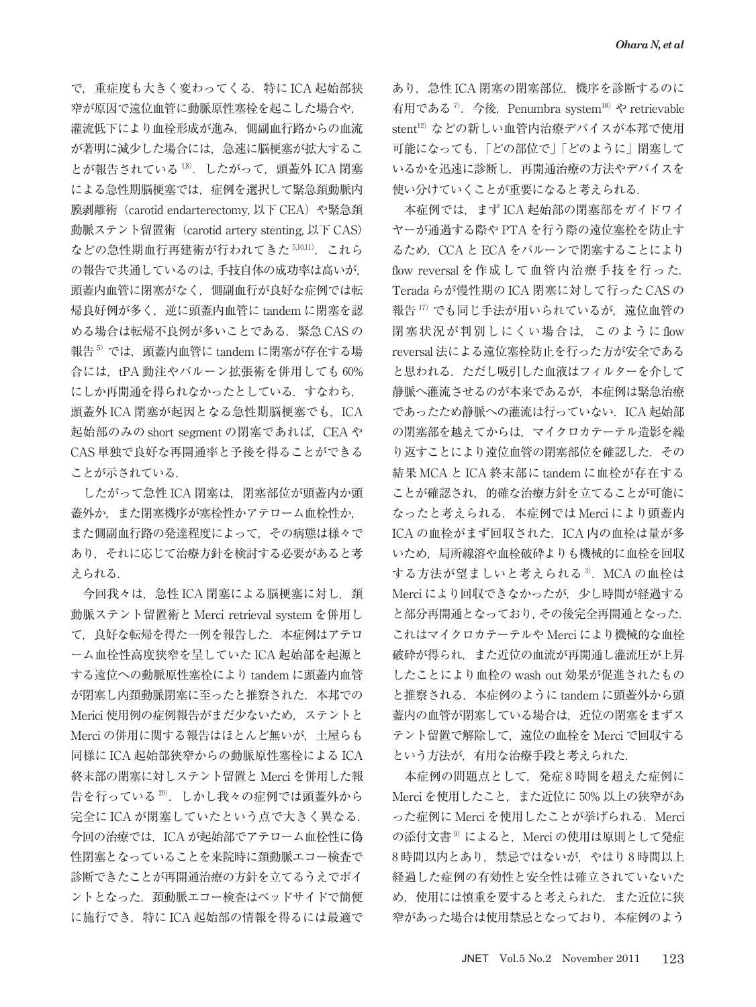で,重症度も大きく変わってくる.特に ICA 起始部狭 窄が原因で遠位血管に動脈原性塞栓を起こした場合や, 灌流低下により血栓形成が進み,側副血行路からの血流 が著明に減少した場合には,急速に脳梗塞が拡大するこ とが報告されている<sup>18)</sup>. したがって、頭蓋外 ICA 閉塞 による急性期脳梗塞では,症例を選択して緊急頚動脈内 膜剥離術 (carotid endarterectomy, 以下 CEA)や緊急頚 動脈ステント留置術(carotid artery stenting, 以下 CAS) などの急性期血行再建術が行われてきた 5,10,11). これら の報告で共通しているのは,手技自体の成功率は高いが, 頭蓋内血管に閉塞がなく,側副血行が良好な症例では転 帰良好例が多く、逆に頭蓋内血管に tandem に閉塞を認 める場合は転帰不良例が多いことである. 緊急 CAS の 報告5)では、頭蓋内血管に tandem に閉塞が存在する場 合には、tPA 動注やバルーン拡張術を併用しても 60% にしか再開通を得られなかったとしている.すなわち, 頭蓋外 ICA 閉塞が起因となる急性期脳梗塞でも, ICA 起始部のみの short segment の閉塞であれば、CEA や CAS 単独で良好な再開通率と予後を得ることができる ことが示されている.

したがって急性 ICA 閉塞は,閉塞部位が頭蓋内か頭 蓋外か,また閉塞機序が塞栓性かアテローム血栓性か, また側副血行路の発達程度によって,その病態は様々で あり,それに応じて治療方針を検討する必要があると考 えられる.

今回我々は、急性 ICA 閉塞による脳梗塞に対し、頚 動脈ステント留置術と Merci retrieval system を併用し て,良好な転帰を得た一例を報告した.本症例はアテロ ーム血栓性高度狭窄を呈していた ICA 起始部を起源と する遠位への動脈原性塞栓により tandem に頭蓋内血管 が閉塞し内頚動脈閉塞に至ったと推察された. 本邦での Merici 使用例の症例報告がまだ少ないため,ステントと Merci の併用に関する報告はほとんど無いが,土屋らも 同様に ICA 起始部狭窄からの動脈原性塞栓による ICA 終末部の閉塞に対しステント留置と Merci を併用した報 告を行っている 20). しかし我々の症例では頭蓋外から 完全に ICA が閉塞していたという点で大きく異なる. 今回の治療では,ICA が起始部でアテローム血栓性に偽 性閉塞となっていることを来院時に頚動脈エコー検査で 診断できたことが再開通治療の方針を立てるうえでポイ ントとなった.頚動脈エコー検査はベッドサイドで簡便 に施行でき,特に ICA 起始部の情報を得るには最適で

あり、急性 ICA 閉塞の閉塞部位, 機序を診断するのに 有用である<sup>7</sup>. 今後, Penumbra system<sup>18)</sup> や retrievable stent <sup>12</sup>)などの新しい血管内治療デバイスが本邦で使用 可能になっても,「どの部位で」「どのように」閉塞して いるかを迅速に診断し,再開通治療の方法やデバイスを 使い分けていくことが重要になると考えられる.

本症例では,まず ICA 起始部の閉塞部をガイドワイ ヤーが通過する際や PTA を行う際の遠位塞栓を防止す るため、CCA と ECA をバルーンで閉塞することにより flow reversal を作成して血管内治療手技を行った. Terada らが慢性期の ICA 閉塞に対して行った CAS の 報告 17) でも同じ手法が用いられているが、遠位血管の 閉塞状況が判別しにくい場合は,このように flow reversal 法による遠位塞栓防止を行った方が安全である と思われる. ただし吸引した血液はフィルターを介して 静脈へ灌流させるのが本来であるが,本症例は緊急治療 であったため静脈への灌流は行っていない.ICA 起始部 の閉塞部を越えてからは,マイクロカテーテル造影を繰 り返すことにより遠位血管の閉塞部位を確認した.その 結果 MCA と ICA 終末部に tandem に血栓が存在する ことが確認され,的確な治療方針を立てることが可能に なったと考えられる.本症例では Merci により頭蓋内 ICA の血栓がまず回収された. ICA 内の血栓は量が多 いため,局所線溶や血栓破砕よりも機械的に血栓を回収 する方法が望ましいと考えられる <sup>3</sup>).MCA の血栓は Merci により回収できなかったが、少し時間が経過する と部分再開通となっており,その後完全再開通となった. これはマイクロカテーテルや Merci により機械的な血栓 破砕が得られ、また近位の血流が再開通し灌流圧が上昇 したことにより血栓の wash out 効果が促進されたもの と推察される. 本症例のように tandem に頭蓋外から頭 蓋内の血管が閉塞している場合は,近位の閉塞をまずス テント留置で解除して,遠位の血栓を Merci で回収する という方法が,有用な治療手段と考えられた.

本症例の問題点として,発症 8 時間を超えた症例に Merci を使用したこと,また近位に 50% 以上の狭窄があ った症例に Merci を使用したことが挙げられる.Merci の添付文書<sup>9)</sup>によると、Merci の使用は原則として発症 8 時間以内とあり,禁忌ではないが,やはり 8 時間以上 経過した症例の有効性と安全性は確立されていないた め,使用には慎重を要すると考えられた.また近位に狭 窄があった場合は使用禁忌となっており,本症例のよう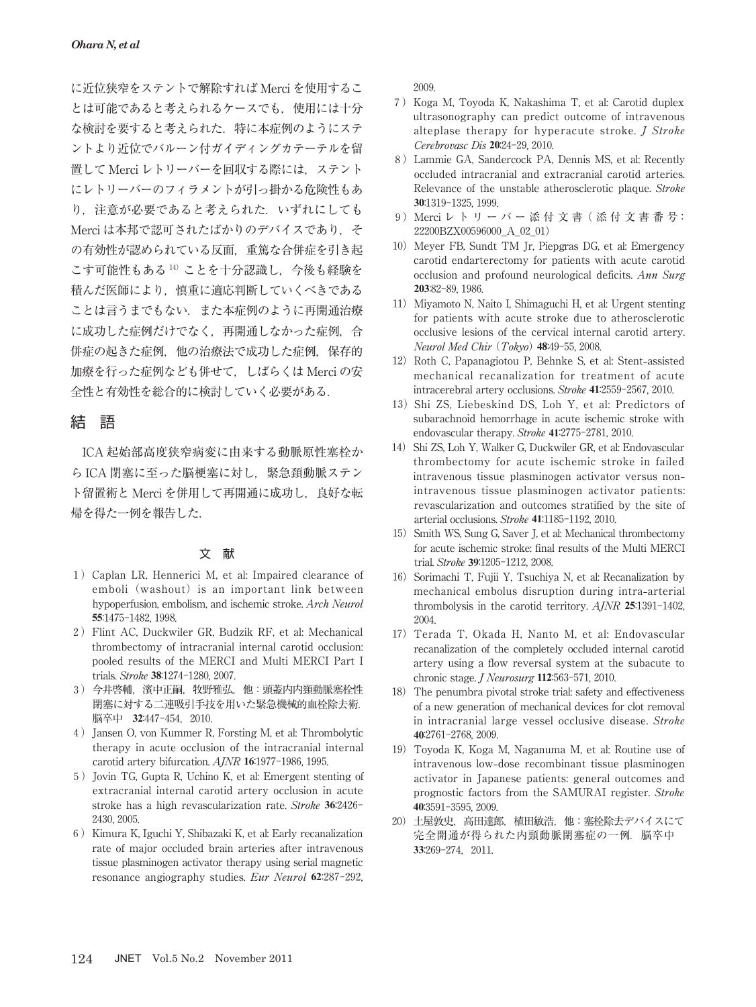に近位狭窄をステントで解除すれば Merci を使用するこ とは可能であると考えられるケースでも、使用には十分 な検討を要すると考えられた.特に本症例のようにステ ントより近位でバルーン付ガイディングカテーテルを留 置して Merci レトリーバーを回収する際には,ステント にレトリーバーのフィラメントが引っ掛かる危険性もあ り、注意が必要であると考えられた. いずれにしても Merci は本邦で認可されたばかりのデバイスであり、そ の有効性が認められている反面,重篤な合併症を引き起 こす可能性もある 14) ことを十分認識し、今後も経験を 積んだ医師により,慎重に適応判断していくべきである ことは言うまでもない. また本症例のように再開通治療 に成功した症例だけでなく、再開通しなかった症例,合 併症の起きた症例,他の治療法で成功した症例,保存的 加療を行った症例なども併せて,しばらくは Merci の安 全性と有効性を総合的に検討していく必要がある.

# 結 語

ICA 起始部高度狭窄病変に由来する動脈原性塞栓か ら ICA 閉塞に至った脳梗塞に対し、緊急頚動脈ステン ト留置術と Merci を併用して再開通に成功し、良好な転 帰を得た一例を報告した.

### 文 献

- 1) Caplan LR, Hennerici M, et al: Impaired clearance of emboli (washout) is an important link between hypoperfusion, embolism, and ischemic stroke. Arch Neurol **55**:1475-1482, 1998.
- 2)Flint AC, Duckwiler GR, Budzik RF, et al: Mechanical thrombectomy of intracranial internal carotid occlusion: pooled results of the MERCI and Multi MERCI Part I trials. Stroke **38**:1274-1280, 2007.
- 3)今井啓輔,濱中正嗣,牧野雅弘,他:頭蓋内内頸動脈塞栓性 閉塞に対する二連吸引手技を用いた緊急機械的血栓除去術. **脳卒中 32:447-454, 2010.**
- 4) Jansen O, von Kummer R, Forsting M, et al: Thrombolytic therapy in acute occlusion of the intracranial internal carotid artery bifurcation. AJNR **16**:1977-1986, 1995.
- 5) Jovin TG, Gupta R, Uchino K, et al: Emergent stenting of extracranial internal carotid artery occlusion in acute stroke has a high revascularization rate. Stroke **36**:2426- 2430, 2005.
- 6) Kimura K, Iguchi Y, Shibazaki K, et al: Early recanalization rate of major occluded brain arteries after intravenous tissue plasminogen activator therapy using serial magnetic resonance angiography studies. Eur Neurol **62**:287-292,

2009.

- 7)Koga M, Toyoda K, Nakashima T, et al: Carotid duplex ultrasonography can predict outcome of intravenous alteplase therapy for hyperacute stroke. J Stroke Cerebrovasc Dis **20**:24-29, 2010.
- 8)Lammie GA, Sandercock PA, Dennis MS, et al: Recently occluded intracranial and extracranial carotid arteries. Relevance of the unstable atherosclerotic plaque. Stroke **30**:1319-1325, 1999.
- 9) Merci レ ト リ ー バ ー 添 付 文 書 ( 添 付 文 書 番 号: 22200BZX00596000\_A\_02\_01)
- 10) Meyer FB, Sundt TM Jr, Piepgras DG, et al: Emergency carotid endarterectomy for patients with acute carotid occlusion and profound neurological deficits. Ann Surg **203**:82-89, 1986.
- 11) Miyamoto N, Naito I, Shimaguchi H, et al: Urgent stenting for patients with acute stroke due to atherosclerotic occlusive lesions of the cervical internal carotid artery. Neurol Med Chir (Tokyo) **48**:49-55, 2008.
- 12) Roth C, Papanagiotou P, Behnke S, et al: Stent-assisted mechanical recanalization for treatment of acute intracerebral artery occlusions. Stroke **41**:2559-2567, 2010.
- 13) Shi ZS, Liebeskind DS, Loh Y, et al: Predictors of subarachnoid hemorrhage in acute ischemic stroke with endovascular therapy. Stroke **41**:2775-2781, 2010.
- 14) Shi ZS, Loh Y, Walker G, Duckwiler GR, et al: Endovascular thrombectomy for acute ischemic stroke in failed intravenous tissue plasminogen activator versus nonintravenous tissue plasminogen activator patients: revascularization and outcomes stratified by the site of arterial occlusions. Stroke **41**:1185-1192, 2010.
- 15) Smith WS, Sung G, Saver J, et al: Mechanical thrombectomy for acute ischemic stroke: final results of the Multi MERCI trial. Stroke **39**:1205-1212, 2008.
- 16) Sorimachi T, Fujii Y, Tsuchiya N, et al: Recanalization by mechanical embolus disruption during intra**-**arterial thrombolysis in the carotid territory. AJNR **25**:1391-1402, 2004.
- 17) Terada T, Okada H, Nanto M, et al: Endovascular recanalization of the completely occluded internal carotid artery using a flow reversal system at the subacute to chronic stage. J Neurosurg **112**:563-571, 2010.
- 18) The penumbra pivotal stroke trial: safety and effectiveness of a new generation of mechanical devices for clot removal in intracranial large vessel occlusive disease. Stroke **40**:2761-2768, 2009.
- 19)Toyoda K, Koga M, Naganuma M, et al: Routine use of intravenous low**-**dose recombinant tissue plasminogen activator in Japanese patients: general outcomes and prognostic factors from the SAMURAI register. Stroke **40**:3591-3595, 2009.
- 20)土屋敦史,高田達郎,植田敏浩,他:塞栓除去デバイスにて 完全開通が得られた内頸動脈閉塞症の一例. 脳卒中 **33**:269-274,2011.